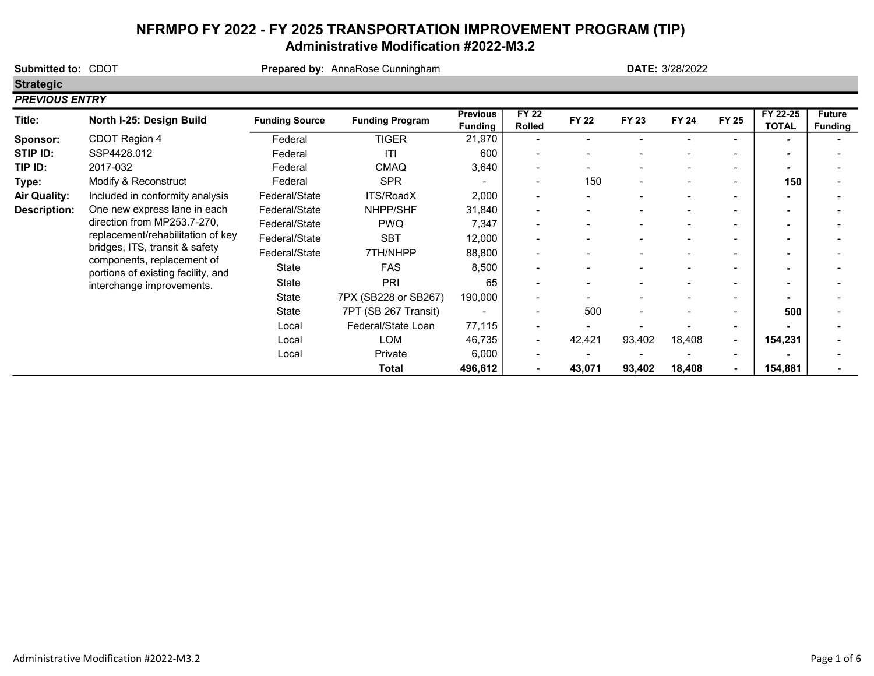# NFRMPO FY 2022 - FY 2025 TRANSPORTATION IMPROVEMENT PROGRAM (TIP) Administrative Modification #2022-M3.2

| Submitted to: CDOT  |                                                                  |                       | Prepared by: AnnaRose Cunningham |                                   |                        |              |              | <b>DATE: 3/28/2022</b> |                          |                          |                                 |
|---------------------|------------------------------------------------------------------|-----------------------|----------------------------------|-----------------------------------|------------------------|--------------|--------------|------------------------|--------------------------|--------------------------|---------------------------------|
| <b>Strategic</b>    |                                                                  |                       |                                  |                                   |                        |              |              |                        |                          |                          |                                 |
|                     | <b>PREVIOUS ENTRY</b>                                            |                       |                                  |                                   |                        |              |              |                        |                          |                          |                                 |
| Title:              | North I-25: Design Build                                         | <b>Funding Source</b> | <b>Funding Program</b>           | <b>Previous</b><br><b>Funding</b> | <b>FY 22</b><br>Rolled | <b>FY 22</b> | <b>FY 23</b> | <b>FY 24</b>           | <b>FY 25</b>             | FY 22-25<br><b>TOTAL</b> | <b>Future</b><br><b>Funding</b> |
| Sponsor:            | CDOT Region 4                                                    | Federal               | <b>TIGER</b>                     | 21,970                            |                        |              |              |                        |                          |                          |                                 |
| STIP ID:            | SSP4428.012                                                      | Federal               | ITI                              | 600                               |                        |              |              |                        |                          | $\overline{\phantom{a}}$ |                                 |
| TIP ID:             | 2017-032                                                         | Federal               | <b>CMAQ</b>                      | 3,640                             | -                      |              |              |                        |                          |                          |                                 |
| Type:               | Modify & Reconstruct                                             | Federal               | <b>SPR</b>                       |                                   |                        | 150          |              |                        | $\overline{\phantom{0}}$ | 150                      |                                 |
| <b>Air Quality:</b> | Included in conformity analysis                                  | Federal/State         | ITS/RoadX                        | 2,000                             | -                      |              |              |                        |                          | $\overline{\phantom{a}}$ |                                 |
| <b>Description:</b> | One new express lane in each<br>direction from MP253.7-270,      | Federal/State         | NHPP/SHF                         | 31,840                            | -                      |              |              |                        |                          | $\overline{\phantom{a}}$ |                                 |
|                     |                                                                  | Federal/State         | <b>PWQ</b>                       | 7,347                             |                        |              |              |                        |                          |                          |                                 |
|                     | replacement/rehabilitation of key                                | Federal/State         | <b>SBT</b>                       | 12,000                            | ۰                      |              |              |                        |                          |                          |                                 |
|                     | bridges, ITS, transit & safety                                   | Federal/State         | 7TH/NHPP                         | 88,800                            |                        |              |              |                        |                          |                          |                                 |
|                     | components, replacement of<br>portions of existing facility, and | State                 | <b>FAS</b>                       | 8,500                             |                        |              |              |                        |                          | $\overline{\phantom{a}}$ |                                 |
|                     | interchange improvements.                                        | State                 | PRI                              | 65                                |                        |              |              |                        |                          |                          |                                 |
|                     |                                                                  | State                 | 7PX (SB228 or SB267)             | 190,000                           |                        |              |              |                        |                          |                          |                                 |
|                     |                                                                  | State                 | 7PT (SB 267 Transit)             |                                   |                        | 500          |              |                        |                          | 500                      |                                 |
|                     |                                                                  | Local                 | Federal/State Loan               | 77,115                            | -                      |              |              |                        |                          |                          |                                 |
|                     |                                                                  | Local                 | <b>LOM</b>                       | 46,735                            | ۰                      | 42,421       | 93,402       | 18,408                 | $\overline{\phantom{a}}$ | 154,231                  |                                 |
|                     |                                                                  | Local                 | Private                          | 6,000                             |                        |              |              |                        |                          |                          |                                 |
|                     |                                                                  |                       | <b>Total</b>                     | 496,612                           |                        | 43,071       | 93,402       | 18,408                 |                          | 154,881                  |                                 |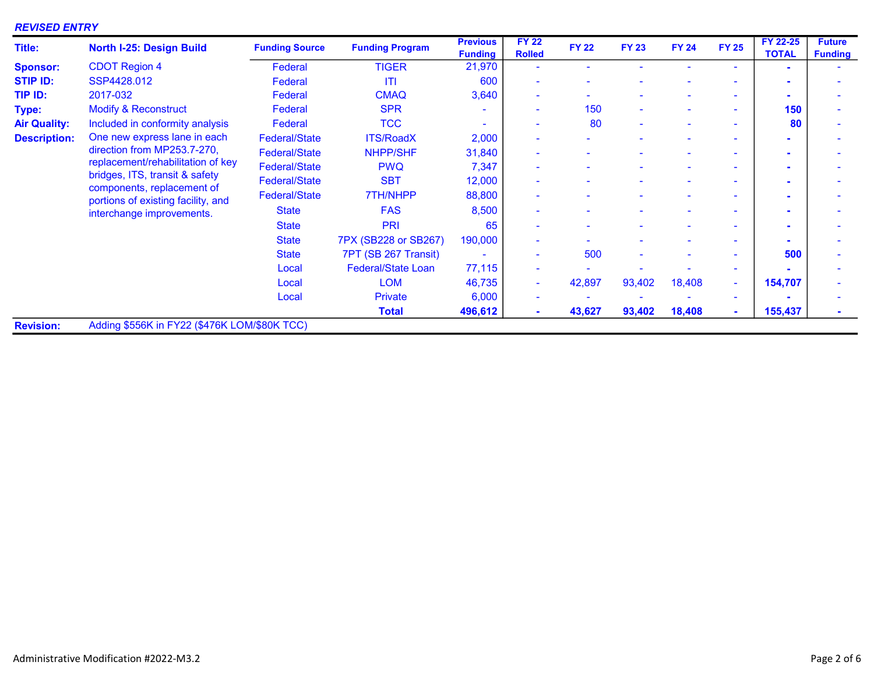## REVISED ENTRY

| <b>Title:</b>       | North I-25: Design Build                                                                           | <b>Funding Source</b> | <b>Funding Program</b>    | <b>Previous</b><br><b>Funding</b> | <b>FY 22</b><br><b>Rolled</b> | <b>FY 22</b> | <b>FY 23</b> | <b>FY 24</b> | <b>FY 25</b> | FY 22-25<br><b>TOTAL</b> | <b>Future</b><br><b>Funding</b> |
|---------------------|----------------------------------------------------------------------------------------------------|-----------------------|---------------------------|-----------------------------------|-------------------------------|--------------|--------------|--------------|--------------|--------------------------|---------------------------------|
| <b>Sponsor:</b>     | <b>CDOT Region 4</b>                                                                               | Federal               | <b>TIGER</b>              | 21,970                            |                               |              |              |              | ٠            |                          |                                 |
| <b>STIP ID:</b>     | SSP4428.012                                                                                        | Federal               | <b>ITI</b>                | 600                               |                               |              |              |              |              |                          |                                 |
| TIP ID:             | 2017-032                                                                                           | Federal               | <b>CMAQ</b>               | 3,640                             | $\overline{\phantom{a}}$      |              |              |              | ۰.           |                          |                                 |
| Type:               | <b>Modify &amp; Reconstruct</b>                                                                    | Federal               | <b>SPR</b>                |                                   | $\sim$                        | 150          | $\sim$       |              | ٠            | 150                      |                                 |
| <b>Air Quality:</b> | Included in conformity analysis                                                                    | Federal               | <b>TCC</b>                |                                   | $\sim$                        | 80           |              |              | $\sim$       | 80                       |                                 |
| <b>Description:</b> | One new express lane in each                                                                       | <b>Federal/State</b>  | <b>ITS/RoadX</b>          | 2,000                             | $\sim$                        |              |              |              | ٠            |                          |                                 |
|                     | direction from MP253.7-270,<br>replacement/rehabilitation of key<br>bridges, ITS, transit & safety | <b>Federal/State</b>  | <b>NHPP/SHF</b>           | 31,840                            |                               |              |              |              | ٠            |                          |                                 |
|                     |                                                                                                    | <b>Federal/State</b>  | <b>PWQ</b>                | 7,347                             | $\overline{\phantom{a}}$      |              |              |              | ٠            |                          |                                 |
|                     |                                                                                                    | <b>Federal/State</b>  | <b>SBT</b>                | 12,000                            | $\overline{\phantom{a}}$      |              |              |              | ٠            |                          |                                 |
|                     | components, replacement of<br>portions of existing facility, and                                   | <b>Federal/State</b>  | 7TH/NHPP                  | 88,800                            | $\overline{\phantom{a}}$      |              |              |              | $\sim$       |                          |                                 |
|                     | interchange improvements.                                                                          | <b>State</b>          | <b>FAS</b>                | 8,500                             | $\overline{\phantom{a}}$      |              |              |              | ٠            |                          |                                 |
|                     |                                                                                                    | <b>State</b>          | PRI                       | 65                                | $\sim$                        |              |              |              | ۰            |                          |                                 |
|                     |                                                                                                    | <b>State</b>          | 7PX (SB228 or SB267)      | 190,000                           |                               |              |              |              | ۰.           |                          |                                 |
|                     |                                                                                                    | <b>State</b>          | 7PT (SB 267 Transit)      |                                   | $\overline{\phantom{a}}$      | 500          |              |              | ۰.           | 500                      |                                 |
|                     |                                                                                                    | Local                 | <b>Federal/State Loan</b> | 77,115                            |                               |              |              |              | ٠            |                          |                                 |
|                     |                                                                                                    | Local                 | <b>LOM</b>                | 46,735                            | $\sim$                        | 42,897       | 93,402       | 18,408       | н.           | 154,707                  |                                 |
|                     |                                                                                                    | Local                 | <b>Private</b>            | 6,000                             | $\overline{\phantom{a}}$      |              |              |              | $\sim$       |                          |                                 |
|                     |                                                                                                    |                       | <b>Total</b>              | 496,612                           | $\sim$                        | 43,627       | 93,402       | 18,408       | $\sim$       | 155,437                  |                                 |
| <b>Revision:</b>    | Adding \$556K in FY22 (\$476K LOM/\$80K TCC)                                                       |                       |                           |                                   |                               |              |              |              |              |                          |                                 |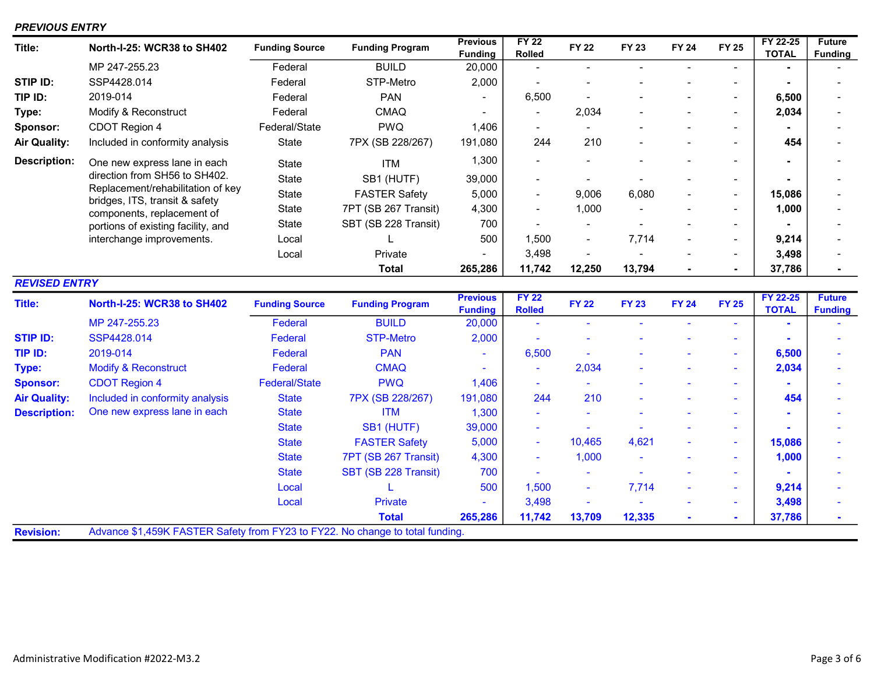## PREVIOUS ENTRY

| Title:               | North-I-25: WCR38 to SH402                                                    | <b>Funding Source</b> | <b>Funding Program</b> | <b>Previous</b><br><b>Funding</b> | <b>FY 22</b><br><b>Rolled</b> | <b>FY 22</b>   | <b>FY 23</b> | <b>FY 24</b> | <b>FY 25</b>             | FY 22-25<br><b>TOTAL</b> | <b>Future</b><br><b>Funding</b> |
|----------------------|-------------------------------------------------------------------------------|-----------------------|------------------------|-----------------------------------|-------------------------------|----------------|--------------|--------------|--------------------------|--------------------------|---------------------------------|
|                      | MP 247-255.23                                                                 | Federal               | <b>BUILD</b>           | 20,000                            | $\blacksquare$                |                |              |              |                          |                          |                                 |
| STIP ID:             | SSP4428.014                                                                   | Federal               | STP-Metro              | 2,000                             |                               |                |              |              | $\blacksquare$           |                          |                                 |
| TIP ID:              | 2019-014                                                                      | Federal               | <b>PAN</b>             |                                   | 6,500                         |                |              |              | $\blacksquare$           | 6,500                    |                                 |
| Type:                | Modify & Reconstruct                                                          | Federal               | <b>CMAQ</b>            |                                   |                               | 2,034          |              |              | $\overline{\phantom{a}}$ | 2,034                    |                                 |
| Sponsor:             | CDOT Region 4                                                                 | Federal/State         | <b>PWQ</b>             | 1,406                             | -                             |                |              |              | $\blacksquare$           |                          |                                 |
| <b>Air Quality:</b>  | Included in conformity analysis                                               | <b>State</b>          | 7PX (SB 228/267)       | 191,080                           | 244                           | 210            |              |              | $\blacksquare$           | 454                      |                                 |
| <b>Description:</b>  | One new express lane in each                                                  | State                 | <b>ITM</b>             | 1,300                             | $\blacksquare$                |                |              |              | $\overline{\phantom{0}}$ |                          |                                 |
|                      | direction from SH56 to SH402.                                                 | State                 | SB1 (HUTF)             | 39,000                            | $\blacksquare$                |                |              |              | $\blacksquare$           |                          |                                 |
|                      | Replacement/rehabilitation of key<br>bridges, ITS, transit & safety           | State                 | <b>FASTER Safety</b>   | 5,000                             | $\blacksquare$                | 9,006          | 6,080        |              | $\blacksquare$           | 15,086                   |                                 |
|                      | components, replacement of                                                    | State                 | 7PT (SB 267 Transit)   | 4,300                             | $\blacksquare$                | 1,000          |              |              | $\blacksquare$           | 1,000                    |                                 |
|                      | portions of existing facility, and                                            | State                 | SBT (SB 228 Transit)   | 700                               |                               |                |              |              | $\blacksquare$           |                          |                                 |
|                      | interchange improvements.                                                     | Local                 |                        | 500                               | 1,500                         |                | 7,714        |              | $\blacksquare$           | 9,214                    |                                 |
|                      |                                                                               | Local                 | Private                | Ξ.                                | 3,498                         |                |              |              | ۰.                       | 3,498                    |                                 |
|                      |                                                                               |                       | <b>Total</b>           | 265,286                           | 11,742                        | 12,250         | 13,794       |              | $\blacksquare$           | 37,786                   |                                 |
| <b>REVISED ENTRY</b> |                                                                               |                       |                        |                                   |                               |                |              |              |                          |                          |                                 |
|                      |                                                                               |                       |                        |                                   |                               |                |              |              |                          |                          |                                 |
| <b>Title:</b>        | North-I-25: WCR38 to SH402                                                    | <b>Funding Source</b> | <b>Funding Program</b> | <b>Previous</b><br><b>Funding</b> | <b>FY 22</b><br><b>Rolled</b> | <b>FY 22</b>   | <b>FY 23</b> | <b>FY 24</b> | <b>FY 25</b>             | FY 22-25<br><b>TOTAL</b> | <b>Future</b><br><b>Funding</b> |
|                      | MP 247-255.23                                                                 | Federal               | <b>BUILD</b>           | 20,000                            | $\mathbf{r}$                  | ÷,             |              |              |                          |                          |                                 |
| <b>STIP ID:</b>      | SSP4428.014                                                                   | Federal               | <b>STP-Metro</b>       | 2,000                             |                               |                |              |              |                          |                          |                                 |
| TIP ID:              | 2019-014                                                                      | Federal               | <b>PAN</b>             |                                   | 6,500                         |                |              |              | $\blacksquare$           | 6,500                    |                                 |
| Type:                | <b>Modify &amp; Reconstruct</b>                                               | <b>Federal</b>        | <b>CMAQ</b>            |                                   | ÷,                            | 2,034          |              |              | ٠                        | 2,034                    |                                 |
| <b>Sponsor:</b>      | <b>CDOT Region 4</b>                                                          | <b>Federal/State</b>  | <b>PWQ</b>             | 1,406                             | ۰                             | ÷.             |              |              | ٠                        |                          |                                 |
| <b>Air Quality:</b>  | Included in conformity analysis                                               | <b>State</b>          | 7PX (SB 228/267)       | 191,080                           | 244                           | 210            |              |              | $\blacksquare$           | 454                      |                                 |
| <b>Description:</b>  | One new express lane in each                                                  | <b>State</b>          | <b>ITM</b>             | 1,300                             |                               |                |              |              | ۰                        |                          |                                 |
|                      |                                                                               | <b>State</b>          | SB1 (HUTF)             | 39,000                            |                               |                |              |              | ÷                        |                          |                                 |
|                      |                                                                               | <b>State</b>          | <b>FASTER Safety</b>   | 5,000                             | $\blacksquare$                | 10,465         | 4,621        |              | ٠                        | 15,086                   |                                 |
|                      |                                                                               | <b>State</b>          | 7PT (SB 267 Transit)   | 4,300                             | ÷                             | 1,000          |              |              | ٠                        | 1,000                    |                                 |
|                      |                                                                               | <b>State</b>          | SBT (SB 228 Transit)   | 700                               |                               |                |              |              | ٠                        |                          |                                 |
|                      |                                                                               | Local                 |                        | 500                               | 1,500                         | ÷,             | 7,714        |              | ٠                        | 9,214                    |                                 |
|                      |                                                                               | Local                 | <b>Private</b>         |                                   | 3,498                         | $\overline{a}$ |              |              | ٠                        | 3,498                    |                                 |
|                      | Advance \$1,459K FASTER Safety from FY23 to FY22. No change to total funding. |                       | <b>Total</b>           | 265,286                           | 11,742                        | 13,709         | 12,335       |              |                          | 37,786                   |                                 |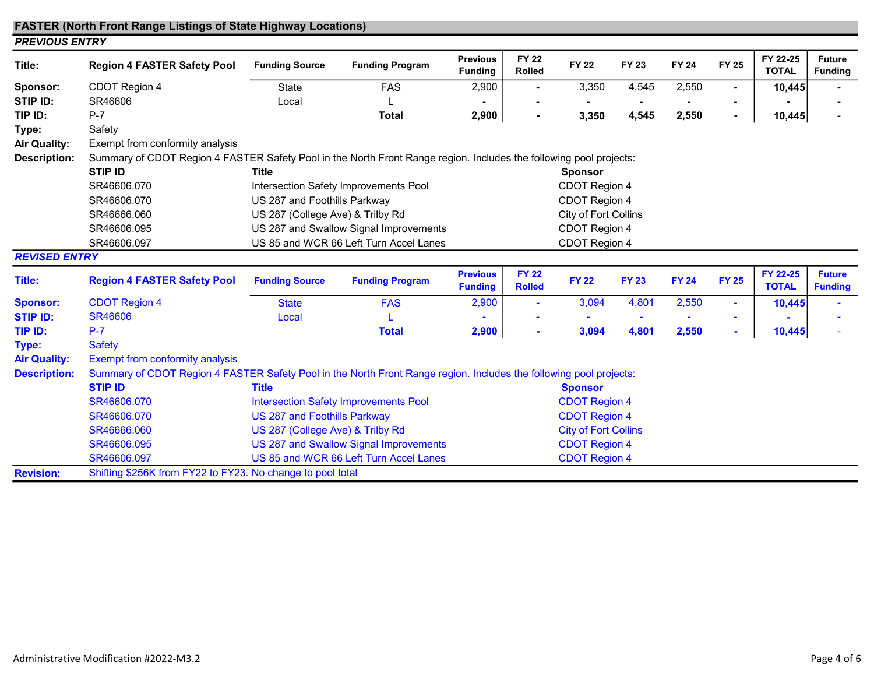#### FASTER (North Front Range Listings of State Highway Locations) PREVIOUS ENTRY

| Title:               | <b>Region 4 FASTER Safety Pool</b>                                                                                 | <b>Funding Source</b>                                          | <b>Funding Program</b>                       | <b>Previous</b><br><b>Funding</b> | <b>FY 22</b><br><b>Rolled</b> | <b>FY 22</b>                | <b>FY 23</b> | <b>FY 24</b> | <b>FY 25</b>   | FY 22-25<br><b>TOTAL</b> | <b>Future</b><br><b>Funding</b> |  |
|----------------------|--------------------------------------------------------------------------------------------------------------------|----------------------------------------------------------------|----------------------------------------------|-----------------------------------|-------------------------------|-----------------------------|--------------|--------------|----------------|--------------------------|---------------------------------|--|
| Sponsor:             | CDOT Region 4                                                                                                      | State                                                          | <b>FAS</b>                                   | 2,900                             |                               | 3,350                       | 4,545        | 2,550        |                | 10,445                   |                                 |  |
| STIP ID:             | SR46606                                                                                                            | Local                                                          |                                              |                                   |                               |                             |              |              |                |                          |                                 |  |
| TIP ID:              | $P-7$                                                                                                              |                                                                | <b>Total</b>                                 | 2,900                             |                               | 3,350                       | 4,545        | 2,550        | $\blacksquare$ | 10,445                   |                                 |  |
| Type:                | Safety                                                                                                             |                                                                |                                              |                                   |                               |                             |              |              |                |                          |                                 |  |
| <b>Air Quality:</b>  | Exempt from conformity analysis                                                                                    |                                                                |                                              |                                   |                               |                             |              |              |                |                          |                                 |  |
| <b>Description:</b>  | Summary of CDOT Region 4 FASTER Safety Pool in the North Front Range region. Includes the following pool projects: |                                                                |                                              |                                   |                               |                             |              |              |                |                          |                                 |  |
|                      | <b>STIP ID</b>                                                                                                     | <b>Title</b>                                                   |                                              |                                   |                               | <b>Sponsor</b>              |              |              |                |                          |                                 |  |
|                      | SR46606.070                                                                                                        |                                                                | Intersection Safety Improvements Pool        |                                   |                               | CDOT Region 4               |              |              |                |                          |                                 |  |
|                      | SR46606.070                                                                                                        | US 287 and Foothills Parkway                                   |                                              |                                   |                               | CDOT Region 4               |              |              |                |                          |                                 |  |
|                      | SR46666.060                                                                                                        | US 287 (College Ave) & Trilby Rd                               |                                              |                                   |                               | City of Fort Collins        |              |              |                |                          |                                 |  |
|                      | SR46606.095                                                                                                        |                                                                | US 287 and Swallow Signal Improvements       |                                   |                               | CDOT Region 4               |              |              |                |                          |                                 |  |
|                      | SR46606.097                                                                                                        |                                                                | US 85 and WCR 66 Left Turn Accel Lanes       |                                   |                               | CDOT Region 4               |              |              |                |                          |                                 |  |
| <b>REVISED ENTRY</b> |                                                                                                                    |                                                                |                                              |                                   |                               |                             |              |              |                |                          |                                 |  |
| Title:               | <b>Region 4 FASTER Safety Pool</b>                                                                                 | <b>Funding Source</b>                                          | <b>Funding Program</b>                       | <b>Previous</b><br><b>Funding</b> | <b>FY 22</b><br><b>Rolled</b> | <b>FY 22</b>                | <b>FY 23</b> | <b>FY 24</b> | <b>FY 25</b>   | FY 22-25<br><b>TOTAL</b> | <b>Future</b><br><b>Funding</b> |  |
| <b>Sponsor:</b>      | <b>CDOT Region 4</b>                                                                                               | <b>State</b>                                                   | <b>FAS</b>                                   | 2,900                             | $\blacksquare$                | 3,094                       | 4,801        | 2,550        | $\sim$         | 10,445                   |                                 |  |
| <b>STIP ID:</b>      | <b>SR46606</b>                                                                                                     | Local                                                          |                                              |                                   |                               |                             |              |              |                |                          |                                 |  |
| TIP ID:              | $P-7$                                                                                                              |                                                                | <b>Total</b>                                 | 2,900                             |                               | 3,094                       | 4,801        | 2,550        | $\blacksquare$ | 10,445                   |                                 |  |
| Type:                | <b>Safety</b>                                                                                                      |                                                                |                                              |                                   |                               |                             |              |              |                |                          |                                 |  |
| <b>Air Quality:</b>  | Exempt from conformity analysis                                                                                    |                                                                |                                              |                                   |                               |                             |              |              |                |                          |                                 |  |
| <b>Description:</b>  | Summary of CDOT Region 4 FASTER Safety Pool in the North Front Range region. Includes the following pool projects: |                                                                |                                              |                                   |                               |                             |              |              |                |                          |                                 |  |
|                      | <b>STIP ID</b>                                                                                                     | <b>Title</b>                                                   |                                              |                                   |                               | <b>Sponsor</b>              |              |              |                |                          |                                 |  |
|                      | SR46606.070                                                                                                        |                                                                | <b>Intersection Safety Improvements Pool</b> |                                   |                               | <b>CDOT Region 4</b>        |              |              |                |                          |                                 |  |
|                      | SR46606.070                                                                                                        | US 287 and Foothills Parkway                                   |                                              |                                   |                               | <b>CDOT Region 4</b>        |              |              |                |                          |                                 |  |
|                      | SR46666.060                                                                                                        | US 287 (College Ave) & Trilby Rd                               |                                              |                                   |                               | <b>City of Fort Collins</b> |              |              |                |                          |                                 |  |
|                      | SR46606.095                                                                                                        |                                                                | US 287 and Swallow Signal Improvements       |                                   |                               | <b>CDOT Region 4</b>        |              |              |                |                          |                                 |  |
|                      | SR46606.097                                                                                                        | US 85 and WCR 66 Left Turn Accel Lanes<br><b>CDOT Region 4</b> |                                              |                                   |                               |                             |              |              |                |                          |                                 |  |
| <b>Revision:</b>     | Shifting \$256K from FY22 to FY23. No change to pool total                                                         |                                                                |                                              |                                   |                               |                             |              |              |                |                          |                                 |  |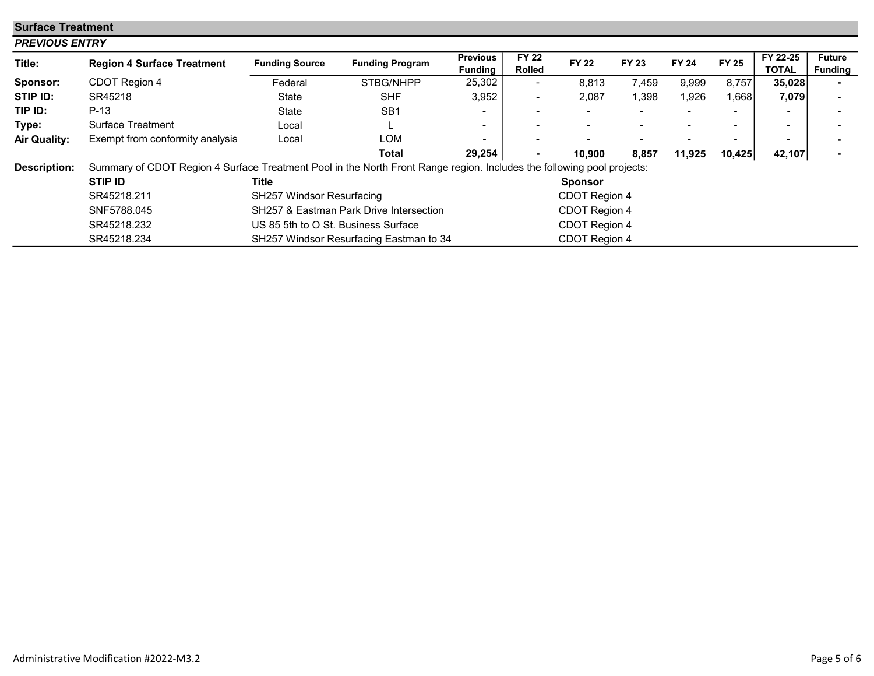| <b>Surface Treatment</b> |                                                                                                                        |                                         |                                         |                                   |                               |                |                          |              |              |                          |                                 |  |
|--------------------------|------------------------------------------------------------------------------------------------------------------------|-----------------------------------------|-----------------------------------------|-----------------------------------|-------------------------------|----------------|--------------------------|--------------|--------------|--------------------------|---------------------------------|--|
|                          | <b>PREVIOUS ENTRY</b>                                                                                                  |                                         |                                         |                                   |                               |                |                          |              |              |                          |                                 |  |
| Title:                   | <b>Region 4 Surface Treatment</b>                                                                                      | <b>Funding Source</b>                   | <b>Funding Program</b>                  | <b>Previous</b><br><b>Funding</b> | <b>FY 22</b><br><b>Rolled</b> | <b>FY 22</b>   | <b>FY 23</b>             | <b>FY 24</b> | <b>FY 25</b> | FY 22-25<br><b>TOTAL</b> | <b>Future</b><br><b>Funding</b> |  |
| Sponsor:                 | CDOT Region 4                                                                                                          | Federal                                 | STBG/NHPP                               | 25,302                            | $\sim$                        | 8,813          | 7,459                    | 9,999        | 8,757        | 35,028                   |                                 |  |
| STIP ID:                 | SR45218                                                                                                                | <b>State</b>                            | <b>SHF</b>                              | 3,952                             | $\blacksquare$                | 2,087          | 1,398                    | 1,926        | 1,668        | 7,079                    |                                 |  |
| TIP ID:                  | $P-13$                                                                                                                 | <b>State</b>                            | SB <sub>1</sub>                         |                                   | $\blacksquare$                |                | $\overline{\phantom{0}}$ |              |              |                          |                                 |  |
| Type:                    | Surface Treatment                                                                                                      | Local                                   |                                         |                                   |                               |                |                          |              |              | ۰                        |                                 |  |
| <b>Air Quality:</b>      | Exempt from conformity analysis                                                                                        | Local                                   | LOM                                     |                                   |                               |                |                          |              |              | -                        |                                 |  |
|                          |                                                                                                                        |                                         | Total                                   | 29,254                            | $\blacksquare$                | 10,900         | 8,857                    | 11,925       | 10,425       | 42,107                   |                                 |  |
| <b>Description:</b>      | Summary of CDOT Region 4 Surface Treatment Pool in the North Front Range region. Includes the following pool projects: |                                         |                                         |                                   |                               |                |                          |              |              |                          |                                 |  |
|                          | <b>STIP ID</b>                                                                                                         | Title                                   |                                         |                                   |                               | <b>Sponsor</b> |                          |              |              |                          |                                 |  |
|                          | SR45218.211                                                                                                            | SH257 Windsor Resurfacing               |                                         |                                   |                               | CDOT Region 4  |                          |              |              |                          |                                 |  |
|                          | SNF5788.045                                                                                                            |                                         | SH257 & Eastman Park Drive Intersection |                                   |                               | CDOT Region 4  |                          |              |              |                          |                                 |  |
|                          | SR45218.232                                                                                                            | US 85 5th to O St. Business Surface     |                                         |                                   |                               | CDOT Region 4  |                          |              |              |                          |                                 |  |
|                          | SR45218.234                                                                                                            | SH257 Windsor Resurfacing Eastman to 34 |                                         |                                   | CDOT Region 4                 |                |                          |              |              |                          |                                 |  |